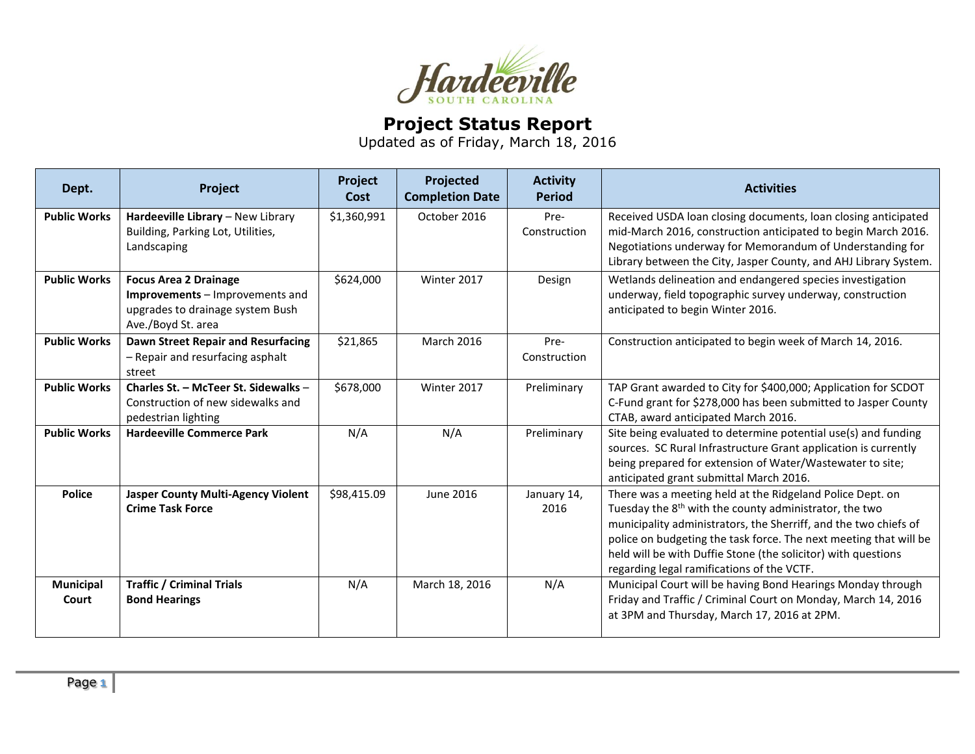

## **Project Status Report**

Updated as of Friday, March 18, 2016

| Dept.               | Project                                                                                                                   | Project<br>Cost | Projected<br><b>Completion Date</b> | <b>Activity</b><br><b>Period</b> | <b>Activities</b>                                                                                                                                                                                                                                                                                                                                                                       |
|---------------------|---------------------------------------------------------------------------------------------------------------------------|-----------------|-------------------------------------|----------------------------------|-----------------------------------------------------------------------------------------------------------------------------------------------------------------------------------------------------------------------------------------------------------------------------------------------------------------------------------------------------------------------------------------|
| <b>Public Works</b> | Hardeeville Library - New Library<br>Building, Parking Lot, Utilities,<br>Landscaping                                     | \$1,360,991     | October 2016                        | Pre-<br>Construction             | Received USDA loan closing documents, loan closing anticipated<br>mid-March 2016, construction anticipated to begin March 2016.<br>Negotiations underway for Memorandum of Understanding for<br>Library between the City, Jasper County, and AHJ Library System.                                                                                                                        |
| <b>Public Works</b> | <b>Focus Area 2 Drainage</b><br>Improvements - Improvements and<br>upgrades to drainage system Bush<br>Ave./Boyd St. area | \$624,000       | Winter 2017                         | Design                           | Wetlands delineation and endangered species investigation<br>underway, field topographic survey underway, construction<br>anticipated to begin Winter 2016.                                                                                                                                                                                                                             |
| <b>Public Works</b> | Dawn Street Repair and Resurfacing<br>- Repair and resurfacing asphalt<br>street                                          | \$21,865        | March 2016                          | Pre-<br>Construction             | Construction anticipated to begin week of March 14, 2016.                                                                                                                                                                                                                                                                                                                               |
| <b>Public Works</b> | Charles St. - McTeer St. Sidewalks -<br>Construction of new sidewalks and<br>pedestrian lighting                          | \$678,000       | Winter 2017                         | Preliminary                      | TAP Grant awarded to City for \$400,000; Application for SCDOT<br>C-Fund grant for \$278,000 has been submitted to Jasper County<br>CTAB, award anticipated March 2016.                                                                                                                                                                                                                 |
| <b>Public Works</b> | <b>Hardeeville Commerce Park</b>                                                                                          | N/A             | N/A                                 | Preliminary                      | Site being evaluated to determine potential use(s) and funding<br>sources. SC Rural Infrastructure Grant application is currently<br>being prepared for extension of Water/Wastewater to site;<br>anticipated grant submittal March 2016.                                                                                                                                               |
| <b>Police</b>       | <b>Jasper County Multi-Agency Violent</b><br><b>Crime Task Force</b>                                                      | \$98,415.09     | <b>June 2016</b>                    | January 14,<br>2016              | There was a meeting held at the Ridgeland Police Dept. on<br>Tuesday the 8 <sup>th</sup> with the county administrator, the two<br>municipality administrators, the Sherriff, and the two chiefs of<br>police on budgeting the task force. The next meeting that will be<br>held will be with Duffie Stone (the solicitor) with questions<br>regarding legal ramifications of the VCTF. |
| Municipal<br>Court  | <b>Traffic / Criminal Trials</b><br><b>Bond Hearings</b>                                                                  | N/A             | March 18, 2016                      | N/A                              | Municipal Court will be having Bond Hearings Monday through<br>Friday and Traffic / Criminal Court on Monday, March 14, 2016<br>at 3PM and Thursday, March 17, 2016 at 2PM.                                                                                                                                                                                                             |